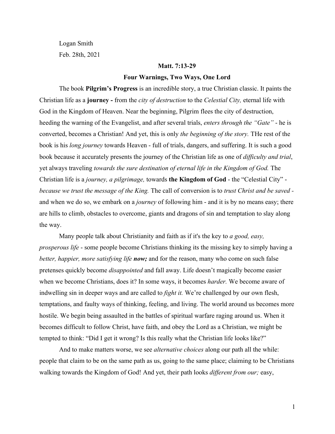Logan Smith Feb. 28th, 2021

#### **Matt. 7:13-29**

#### **Four Warnings, Two Ways, One Lord**

The book **Pilgrim's Progress** is an incredible story, a true Christian classic. It paints the Christian life as a **journey -** from the *city of destruction* to the *Celestial City,* eternal life with God in the Kingdom of Heaven. Near the beginning, Pilgrim flees the city of destruction, heeding the warning of the Evangelist, and after several trials, *enters through the "Gate"* - he is converted, becomes a Christian! And yet, this is only *the beginning of the story.* THe rest of the book is his *long journey* towards Heaven - full of trials, dangers, and suffering. It is such a good book because it accurately presents the journey of the Christian life as one of *difficulty and trial*, yet always traveling *towards the sure destination of eternal life in the Kingdom of God.* The Christian life is a *journey, a pilgrimage,* towards **the Kingdom of God** - the "Celestial City" *because we trust the message of the King.* The call of conversion is to *trust Christ and be saved*  and when we do so, we embark on a *journey* of following him - and it is by no means easy; there are hills to climb, obstacles to overcome, giants and dragons of sin and temptation to slay along the way.

Many people talk about Christianity and faith as if it's the key to *a good, easy, prosperous life* - some people become Christians thinking its the missing key to simply having a *better, happier, more satisfying life now;* and for the reason, many who come on such false pretenses quickly become *disappointed* and fall away. Life doesn't magically become easier when we become Christians, does it? In some ways, it becomes *harder.* We become aware of indwelling sin in deeper ways and are called to *fight it.* We're challenged by our own flesh, temptations, and faulty ways of thinking, feeling, and living. The world around us becomes more hostile. We begin being assaulted in the battles of spiritual warfare raging around us. When it becomes difficult to follow Christ, have faith, and obey the Lord as a Christian, we might be tempted to think: "Did I get it wrong? Is this really what the Christian life looks like?"

And to make matters worse, we see *alternative choices* along our path all the while: people that claim to be on the same path as us, going to the same place; claiming to be Christians walking towards the Kingdom of God! And yet, their path looks *different from our;* easy,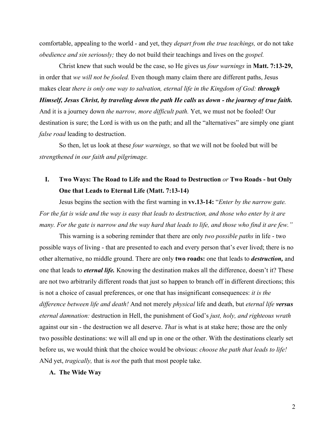comfortable, appealing to the world - and yet, they *depart from the true teachings,* or do not take *obedience and sin seriously;* they do not build their teachings and lives on the *gospel.*

Christ knew that such would be the case, so He gives us *four warnings* in **Matt. 7:13-29,** in order that *we will not be fooled.* Even though many claim there are different paths, Jesus makes clear *there is only one way to salvation, eternal life in the Kingdom of God: through*

*Himself, Jesus Christ, by traveling down the path He calls us down - the journey of true faith.* And it is a journey down *the narrow, more difficult path.* Yet, we must not be fooled! Our destination is sure; the Lord is with us on the path; and all the "alternatives" are simply one giant *false road* leading to destruction.

So then, let us look at these *four warnings,* so that we will not be fooled but will be *strengthened in our faith and pilgrimage.*

## **I. Two Ways: The Road to Life and the Road to Destruction** *or* **Two Roads - but Only One that Leads to Eternal Life (Matt. 7:13-14)**

Jesus begins the section with the first warning in **vv.13-14:** "*Enter by the narrow gate. For the fat is wide and the way is easy that leads to destruction, and those who enter by it are many. For the gate is narrow and the way hard that leads to life, and those who find it are few."*

This warning is a sobering reminder that there are only *two possible paths* in life - two possible ways of living - that are presented to each and every person that's ever lived; there is no other alternative, no middle ground. There are only **two roads:** one that leads to *destruction,* and one that leads to *eternal life.* Knowing the destination makes all the difference, doesn't it? These are not two arbitrarily different roads that just so happen to branch off in different directions; this is not a choice of casual preferences, or one that has insignificant consequences: *it is the difference between life and death!* And not merely *physical* life and death, but *eternal life versus eternal damnation:* destruction in Hell, the punishment of God's *just, holy, and righteous wrath* against our sin - the destruction we all deserve. *That* is what is at stake here; those are the only two possible destinations: we will all end up in one or the other. With the destinations clearly set before us, we would think that the choice would be obvious: *choose the path that leads to life!* ANd yet, *tragically,* that is *not* the path that most people take.

### **A. The Wide Way**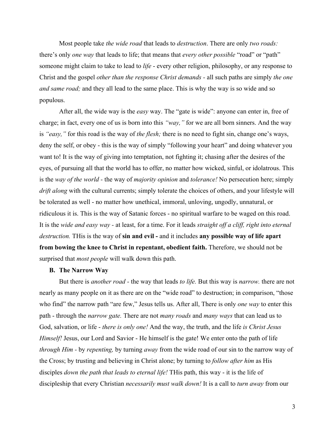Most people take *the wide road* that leads to *destruction*. There are only *two roads:* there's only *one way* that leads to life; that means that *every other possible* "road" or "path" someone might claim to take to lead to *life* - every other religion, philosophy, or any response to Christ and the gospel *other than the response Christ demands -* all such paths are simply *the one and same road;* and they all lead to the same place. This is why the way is so wide and so populous.

After all, the wide way is the *easy* way. The "gate is wide": anyone can enter in, free of charge; in fact, every one of us is born into this *"way,"* for we are all born sinners. And the way is *"easy,"* for this road is the way of *the flesh;* there is no need to fight sin, change one's ways, deny the self, or obey - this is the way of simply "following your heart" and doing whatever you want to! It is the way of giving into temptation, not fighting it; chasing after the desires of the eyes, of pursuing all that the world has to offer, no matter how wicked, sinful, or idolatrous. This is the *way of the world -* the way of *majority opinion* and *tolerance!* No persecution here; simply *drift along* with the cultural currents; simply tolerate the choices of others, and your lifestyle will be tolerated as well - no matter how unethical, immoral, unloving, ungodly, unnatural, or ridiculous it is. This is the way of Satanic forces - no spiritual warfare to be waged on this road. It is the *wide and easy way -* at least, for a time. For it leads *straight off a cliff, right into eternal destruction.* THis is the way of **sin and evil -** and it includes **any possible way of life apart from bowing the knee to Christ in repentant, obedient faith.** Therefore, we should not be surprised that *most people* will walk down this path.

#### **B. The Narrow Way**

But there is *another road -* the way that leads *to life.* But this way is *narrow.* there are not nearly as many people on it as there are on the "wide road" to destruction; in comparison, "those who find" the narrow path "are few," Jesus tells us. After all, There is only *one way* to enter this path - through the *narrow gate.* There are not *many roads* and *many ways* that can lead us to God, salvation, or life - *there is only one!* And the way, the truth, and the life *is Christ Jesus Himself!* Jesus, our Lord and Savior - He himself is the gate! We enter onto the path of life *through Him -* by *repenting,* by turning *away* from the wide road of our sin to the narrow way of the Cross; by trusting and believing in Christ alone; by turning to *follow after him* as His disciples *down the path that leads to eternal life!* THis path, this way - it is the life of discipleship that every Christian *necessarily must walk down!* It is a call to *turn away* from our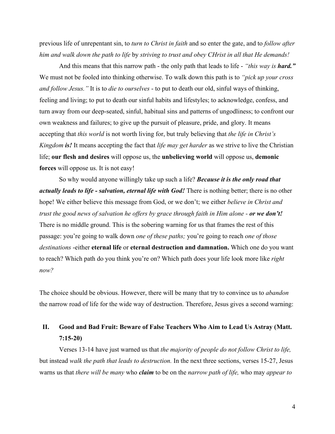previous life of unrepentant sin, to *turn to Christ in faith* and so enter the gate, and to *follow after him and walk down the path to life* by *striving to trust and obey CHrist in all that He demands!*

And this means that this narrow path - the only path that leads to life - *"this way is hard."* We must not be fooled into thinking otherwise. To walk down this path is to *"pick up your cross and follow Jesus."* It is to *die to ourselves* - to put to death our old, sinful ways of thinking, feeling and living; to put to death our sinful habits and lifestyles; to acknowledge, confess, and turn away from our deep-seated, sinful, habitual sins and patterns of ungodliness; to confront our own weakness and failures; to give up the pursuit of pleasure, pride, and glory. It means accepting that *this world* is not worth living for, but truly believing that *the life in Christ's Kingdom is!* It means accepting the fact that *life may get harder* as we strive to live the Christian life; **our flesh and desires** will oppose us, the **unbelieving world** will oppose us, **demonic forces** will oppose us. It is not easy!

So why would anyone willingly take up such a life? *Because it is the only road that actually leads to life - salvation, eternal life with God!* There is nothing better; there is no other hope! We either believe this message from God, or we don't; we either *believe in Christ and trust the good news of salvation he offers by grace through faith in Him alone - or we don't!* There is no middle ground. This is the sobering warning for us that frames the rest of this passage: you're going to walk down *one of these paths;* you're going to reach *one of those destinations* -either **eternal life** or **eternal destruction and damnation.** Which one do you want to reach? Which path do you think you're on? Which path does your life look more like *right now?*

The choice should be obvious. However, there will be many that try to convince us to *abandon* the narrow road of life for the wide way of destruction. Therefore, Jesus gives a second warning:

# **II. Good and Bad Fruit: Beware of False Teachers Who Aim to Lead Us Astray (Matt. 7:15-20)**

Verses 13-14 have just warned us that *the majority of people do not follow Christ to life,* but instead *walk the path that leads to destruction.* In the next three sections, verses 15-27, Jesus warns us that *there will be many* who *claim* to be on the *narrow path of life,* who may *appear to*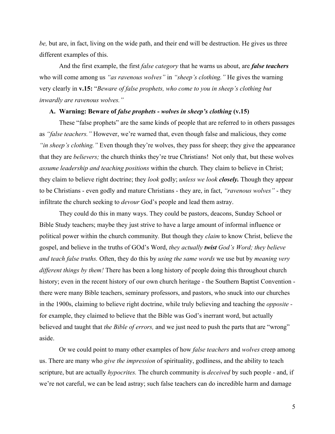*be,* but are, in fact, living on the wide path, and their end will be destruction. He gives us three different examples of this.

And the first example, the first *false category* that he warns us about, are *false teachers* who will come among us *"as ravenous wolves"* in *"sheep's clothing."* He gives the warning very clearly in **v.15:** "*Beware of false prophets, who come to you in sheep's clothing but inwardly are ravenous wolves."*

#### **A. Warning: Beware of** *false prophets - wolves in sheep's clothing* **(v.15)**

These "false prophets" are the same kinds of people that are referred to in others passages as *"false teachers."* However, we're warned that, even though false and malicious, they come *"in sheep's clothing."* Even though they're wolves, they pass for sheep; they give the appearance that they are *believers;* the church thinks they're true Christians! Not only that, but these wolves *assume leadership and teaching positions* within the church. They claim to believe in Christ; they claim to believe right doctrine; they *look* godly; *unless we look closely.* Though they appear to be Christians - even godly and mature Christians - they are, in fact, *"ravenous wolves"* - they infiltrate the church seeking to *devour* God's people and lead them astray.

They could do this in many ways. They could be pastors, deacons, Sunday School or Bible Study teachers; maybe they just strive to have a large amount of informal influence or political power within the church community*.* But though they *claim* to know Christ, believe the gospel, and believe in the truths of GOd's Word, *they actually twist God's Word; they believe and teach false truths.* Often, they do this by *using the same words* we use but by *meaning very different things by them!* There has been a long history of people doing this throughout church history; even in the recent history of our own church heritage - the Southern Baptist Convention there were many Bible teachers, seminary professors, and pastors, who snuck into our churches in the 1900s, claiming to believe right doctrine, while truly believing and teaching the *opposite*  for example, they claimed to believe that the Bible was God's inerrant word, but actually believed and taught that *the Bible of errors,* and we just need to push the parts that are "wrong" aside.

Or we could point to many other examples of how *false teachers* and *wolves* creep among us. There are many who *give the impression* of spirituality, godliness, and the ability to teach scripture, but are actually *hypocrites.* The church community is *deceived* by such people - and, if we're not careful, we can be lead astray; such false teachers can do incredible harm and damage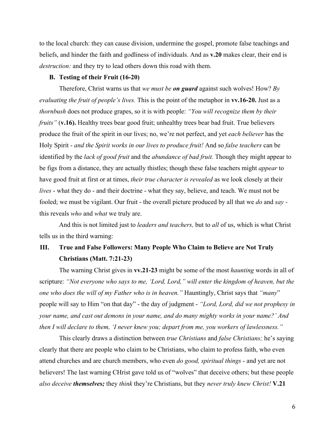to the local church: they can cause division, undermine the gospel, promote false teachings and beliefs, and hinder the faith and godliness of individuals. And as **v.20** makes clear, their end is *destruction:* and they try to lead others down this road with them.

#### **B. Testing of their Fruit (16-20)**

Therefore, Christ warns us that *we must be on guard* against such wolves! How? *By evaluating the fruit of people's lives.* This is the point of the metaphor in **vv.16-20.** Just as a *thornbush* does not produce grapes, so it is with people: *"You will recognize them by their fruits"* (**v.16**). Healthy trees bear good fruit; unhealthy trees bear bad fruit. True believers produce the fruit of the spirit in our lives; no, we're not perfect, and yet *each believer* has the Holy Spirit - *and the Spirit works in our lives to produce fruit!* And so *false teachers* can be identified by the *lack of good fruit* and the *abundance of bad fruit.* Though they might appear to be figs from a distance, they are actually thistles; though these false teachers might *appear* to have good fruit at first or at times, *their true character is revealed* as we look closely at their *lives* - what they do - and their doctrine - what they say, believe, and teach. We must not be fooled; we must be vigilant. Our fruit - the overall picture produced by all that we *do* and *say*  this reveals *who* and *what* we truly are.

And this is not limited just to *leaders and teachers,* but to *all* of us, which is what Christ tells us in the third warning:

## **III. True and False Followers: Many People Who Claim to Believe are Not Truly Christians (Matt. 7:21-23)**

The warning Christ gives in **vv.21-23** might be some of the most *haunting* words in all of scripture: *"Not everyone who says to me, 'Lord, Lord," will enter the kingdom of heaven, but the one who does the will of my Father who is in heaven."* Hauntingly, Christ says that *"many*" people will say to Him "on that day" - the day of judgment - *"Lord, Lord, did we not prophesy in your name, and cast out demons in your name, and do many mighty works in your name?' And then I will declare to them, 'I never knew you; depart from me, you workers of lawlessness."*

This clearly draws a distinction between *true Christians* and *false Christians;* he's saying clearly that there are people who claim to be Christians, who claim to profess faith, who even attend churches and are church members, who even *do good, spiritual things* - and yet are not believers! The last warning CHrist gave told us of "wolves" that deceive others; but these people *also deceive themselves;* they *think* they're Christians, but they *never truly knew Christ!* **V.21**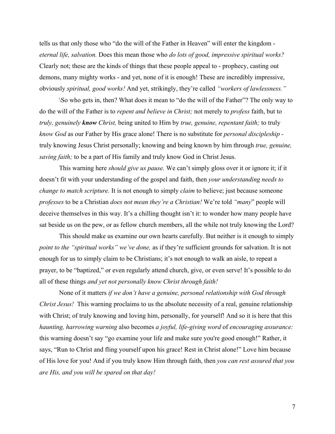tells us that only those who "do the will of the Father in Heaven" will enter the kingdom *eternal life, salvation.* Does this mean those who *do lots of good, impressive spiritual works?* Clearly not; these are the kinds of things that these people appeal to - prophecy, casting out demons, many mighty works - and yet, none of it is enough! These are incredibly impressive, obviously *spiritual, good works!* And yet, strikingly, they're called *"workers of lawlessness."*

\So who gets in, then? What does it mean to "do the will of the Father"? The only way to do the will of the Father is to *repent and believe in Christ;* not merely to *profess* faith, but to *truly, genuinely know Christ,* being united to Him by *true, genuine, repentant faith;* to truly *know God* as our Father by His grace alone! There is no substitute for *personal discipleship*  truly knowing Jesus Christ personally; knowing and being known by him through *true, genuine, saving faith;* to be a part of His family and truly know God in Christ Jesus.

This warning here *should give us pause.* We can't simply gloss over it or ignore it; if it doesn't fit with your understanding of the gospel and faith, then *your understanding needs to change to match scripture.* It is not enough to simply *claim* to believe; just because someone *professes* to be a Christian *does not mean they're a Christian!* We're told *"many*" people will deceive themselves in this way. It's a chilling thought isn't it: to wonder how many people have sat beside us on the pew, or as fellow church members, all the while not truly knowing the Lord?

This should make us examine our own hearts carefully. But neither is it enough to simply *point to the "spiritual works" we've done,* as if they're sufficient grounds for salvation. It is not enough for us to simply claim to be Christians; it's not enough to walk an aisle, to repeat a prayer, to be "baptized," or even regularly attend church, give, or even serve! It's possible to do all of these things *and yet not personally know Christ through faith!*

None of it matters *if we don't have a genuine, personal relationship with God through Christ Jesus!* This warning proclaims to us the absolute necessity of a real, genuine relationship with Christ; of truly knowing and loving him, personally, for yourself! And so it is here that this *haunting, harrowing warning* also becomes *a joyful, life-giving word* of *encouraging assurance:* this warning doesn't say "go examine your life and make sure you're good enough!" Rather, it says, "Run to Christ and fling yourself upon his grace! Rest in Christ alone!" Love him because of His love for you! And if you truly know Him through faith, then *you can rest assured that you are His, and you will be spared on that day!*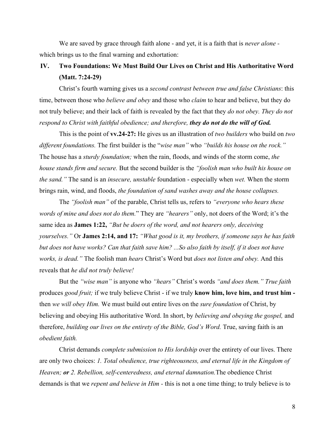We are saved by grace through faith alone - and yet, it is a faith that is *never alone*  which brings us to the final warning and exhortation:

### **IV. Two Foundations: We Must Build Our Lives on Christ and His Authoritative Word (Matt. 7:24-29)**

Christ's fourth warning gives us a *second contrast between true and false Christians*: this time, between those who *believe and obey* and those who *claim* to hear and believe, but they do not truly believe; and their lack of faith is revealed by the fact that they *do not obey. They do not respond to Christ with faithful obedience; and therefore, they do not do the will of God.*

This is the point of **vv.24-27:** He gives us an illustration of *two builders* who build on *two different foundations.* The first builder is the "*wise man"* who *"builds his house on the rock."* The house has a *sturdy foundation;* when the rain, floods, and winds of the storm come, *the house stands firm and secure.* But the second builder is the *"foolish man who built his house on the sand."* The sand is an *insecure, unstable* foundation - especially when *wet.* When the storm brings rain, wind, and floods, *the foundation of sand washes away and the house collapses.*

The *"foolish man"* of the parable, Christ tells us, refers to *"everyone who hears these words of mine and does not do them.*" They are *"hearers"* only, not doers of the Word; it's the same idea as **James 1:22,** *"But be doers of the word, and not hearers only, deceiving yourselves."* Or **James 2:14, and 17:** *"What good is it, my brothers, if someone says he has faith but does not have works? Can that faith save him? ...So also faith by itself, if it does not have works, is dead."* The foolish man *hears* Christ's Word but *does not listen and obey.* And this reveals that *he did not truly believe!*

But the *"wise man"* is anyone who *"hears"* Christ's words *"and does them." True faith* produces *good fruit;* if we truly believe Christ - if we truly **know him, love him, and trust him**  then *we will obey Him.* We must build out entire lives on the *sure foundation* of Christ, by believing and obeying His authoritative Word. In short, by *believing and obeying the gospel,* and therefore, *building our lives on the entirety of the Bible, God's Word.* True, saving faith is an *obedient faith.*

Christ demands *complete submission to His lordship* over the entirety of our lives. There are only two choices: *1. Total obedience, true righteousness, and eternal life in the Kingdom of Heaven; or 2. Rebellion, self-centeredness, and eternal damnation.*The obedience Christ demands is that we *repent and believe in Him -* this is not a one time thing; to truly believe is to